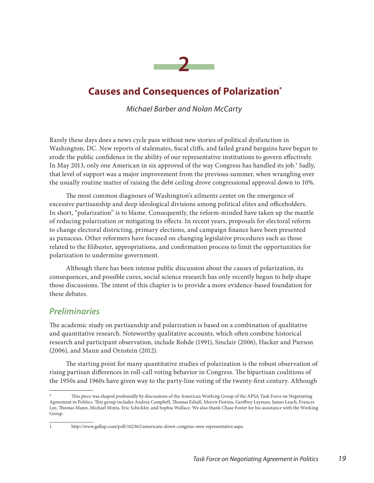

# **Causes and Consequences of Polarization\***

*Michael Barber and Nolan McCarty*

Rarely these days does a news cycle pass without new stories of political dysfunction in Washington, DC. New reports of stalemates, fiscal cliffs, and failed grand bargains have begun to erode the public confidence in the ability of our representative institutions to govern effectively. In May 2013, only one American in six approved of the way Congress has handled its job.<sup>1</sup> Sadly, that level of support was a major improvement from the previous summer, when wrangling over the usually routine matter of raising the debt ceiling drove congressional approval down to 10%.

The most common diagnoses of Washington's ailments center on the emergence of excessive partisanship and deep ideological divisions among political elites and officeholders. In short, "polarization" is to blame. Consequently, the reform-minded have taken up the mantle of reducing polarization or mitigating its effects. In recent years, proposals for electoral reform to change electoral districting, primary elections, and campaign finance have been presented as panaceas. Other reformers have focused on changing legislative procedures such as those related to the filibuster, appropriations, and confirmation process to limit the opportunities for polarization to undermine government.

Although there has been intense public discussion about the causes of polarization, its consequences, and possible cures, social science research has only recently begun to help shape those discussions. The intent of this chapter is to provide a more evidence-based foundation for these debates.

## *Preliminaries*

The academic study on partisanship and polarization is based on a combination of qualitative and quantitative research. Noteworthy qualitative accounts, which often combine historical research and participant observation, include Rohde (1991), Sinclair (2006), Hacker and Pierson (2006), and Mann and Ornstein (2012).

The starting point for many quantitative studies of polarization is the robust observation of rising partisan differences in roll-call voting behavior in Congress. The bipartisan coalitions of the 1950s and 1960s have given way to the party-line voting of the twenty-first century. Although

This piece was shaped profoundly by discussions of the American Working Group of the APSA Task Force on Negotiating Agreement in Politics. This group includes Andrea Campbell, Thomas Edsall, Morris Fiorina, Geoffrey Layman, James Leach, Frances Lee, Thomas Mann, Michael Minta, Eric Schickler, and Sophia Wallace. We also thank Chase Foster for his assistance with the Working Group.

<sup>1</sup> <http://www.gallup.com/poll/162362/americans-down-congress-own-representative.aspx.>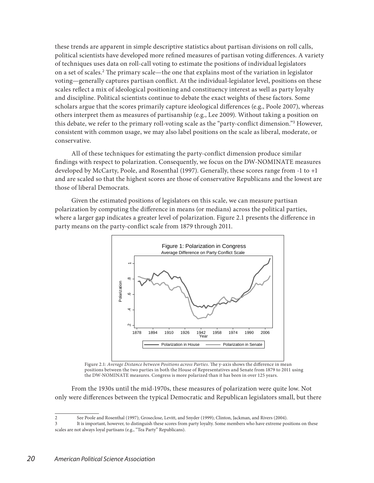these trends are apparent in simple descriptive statistics about partisan divisions on roll calls, political scientists have developed more refined measures of partisan voting differences. A variety of techniques uses data on roll-call voting to estimate the positions of individual legislators on a set of scales.<sup>2</sup> The primary scale—the one that explains most of the variation in legislator voting—generally captures partisan conflict. At the individual-legislator level, positions on these scales reflect a mix of ideological positioning and constituency interest as well as party loyalty and discipline. Political scientists continue to debate the exact weights of these factors. Some scholars argue that the scores primarily capture ideological differences (e.g., Poole 2007), whereas others interpret them as measures of partisanship (e.g., Lee 2009). Without taking a position on this debate, we refer to the primary roll-voting scale as the "party-conflict dimension."<sup>3</sup> However, consistent with common usage, we may also label positions on the scale as liberal, moderate, or conservative.

All of these techniques for estimating the party-conflict dimension produce similar findings with respect to polarization. Consequently, we focus on the DW-NOMINATE measures developed by McCarty, Poole, and Rosenthal (1997). Generally, these scores range from -1 to +1 and are scaled so that the highest scores are those of conservative Republicans and the lowest are those of liberal Democrats.

Given the estimated positions of legislators on this scale, we can measure partisan polarization by computing the difference in means (or medians) across the political parties, where a larger gap indicates a greater level of polarization. Figure 2.1 presents the difference in party means on the party-conflict scale from 1879 through 2011.



Figure 2.1: *Average Distance between Positions across Parties*. The y-axis shows the difference in mean positions between the two parties in both the House of Representatives and Senate from 1879 to 2011 using the DW-NOMINATE measures. Congress is more polarized than it has been in over 125 years.

From the 1930s until the mid-1970s, these measures of polarization were quite low. Not only were differences between the typical Democratic and Republican legislators small, but there

<sup>2</sup> See Poole and Rosenthal (1997); Groseclose, Levitt, and Snyder (1999); Clinton, Jackman, and Rivers (2004).

<sup>3</sup> It is important, however, to distinguish these scores from party loyalty. Some members who have extreme positions on these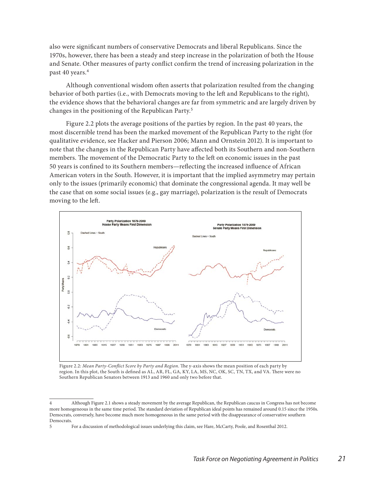also were significant numbers of conservative Democrats and liberal Republicans. Since the 1970s, however, there has been a steady and steep increase in the polarization of both the House and Senate. Other measures of party conflict confirm the trend of increasing polarization in the past 40 years.<sup>4</sup>

Although conventional wisdom often asserts that polarization resulted from the changing behavior of both parties (i.e., with Democrats moving to the left and Republicans to the right), the evidence shows that the behavioral changes are far from symmetric and are largely driven by changes in the positioning of the Republican Party.<sup>5</sup>

Figure 2.2 plots the average positions of the parties by region. In the past 40 years, the most discernible trend has been the marked movement of the Republican Party to the right (for qualitative evidence, see Hacker and Pierson 2006; Mann and Ornstein 2012). It is important to note that the changes in the Republican Party have affected both its Southern and non-Southern members. The movement of the Democratic Party to the left on economic issues in the past 50 years is confined to its Southern members—reflecting the increased influence of African American voters in the South. However, it is important that the implied asymmetry may pertain only to the issues (primarily economic) that dominate the congressional agenda. It may well be the case that on some social issues (e.g., gay marriage), polarization is the result of Democrats moving to the left.



Figure 2.2: *Mean Party-Conflict Score by Party and Region*. The y-axis shows the mean position of each party by region. In this plot, the South is defined as AL, AR, FL, GA, KY, LA, MS, NC, OK, SC, TN, TX, and VA. There were no Southern Republican Senators between 1913 and 1960 and only two before that.

<sup>4</sup> Although Figure 2.1 shows a steady movement by the average Republican, the Republican caucus in Congress has not become more homogeneous in the same time period. The standard deviation of Republican ideal points has remained around 0.15 since the 1950s. Democrats, conversely, have become much more homogeneous in the same period with the disappearance of conservative southern Democrats.

<sup>5</sup> For a discussion of methodological issues underlying this claim, see Hare, McCarty, Poole, and Rosenthal 2012.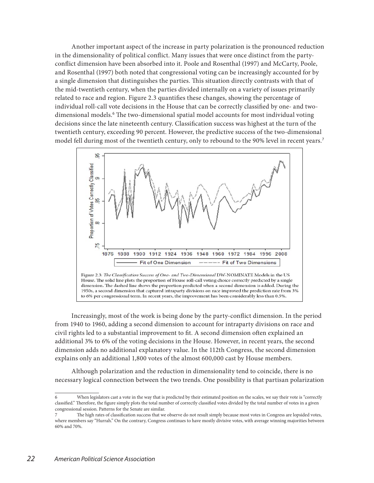Another important aspect of the increase in party polarization is the pronounced reduction in the dimensionality of political conflict. Many issues that were once distinct from the partyconflict dimension have been absorbed into it. Poole and Rosenthal (1997) and McCarty, Poole, and Rosenthal (1997) both noted that congressional voting can be increasingly accounted for by a single dimension that distinguishes the parties. This situation directly contrasts with that of the mid-twentieth century, when the parties divided internally on a variety of issues primarily related to race and region. Figure 2.3 quantifies these changes, showing the percentage of individual roll-call vote decisions in the House that can be correctly classified by one- and twodimensional models.<sup>6</sup> The two-dimensional spatial model accounts for most individual voting decisions since the late nineteenth century. Classification success was highest at the turn of the twentieth century, exceeding 90 percent. However, the predictive success of the two-dimensional model fell during most of the twentieth century, only to rebound to the 90% level in recent years.<sup>7</sup>



to 6% per congressional term. In recent years, the improvement has been considerably less than 0.5%.

Increasingly, most of the work is being done by the party-conflict dimension. In the period from 1940 to 1960, adding a second dimension to account for intraparty divisions on race and civil rights led to a substantial improvement to fit. A second dimension often explained an additional 3% to 6% of the voting decisions in the House. However, in recent years, the second dimension adds no additional explanatory value. In the 112th Congress, the second dimension explains only an additional 1,800 votes of the almost 600,000 cast by House members.

Although polarization and the reduction in dimensionality tend to coincide, there is no necessary logical connection between the two trends. One possibility is that partisan polarization

<sup>6</sup> When legislators cast a vote in the way that is predicted by their estimated position on the scales, we say their vote is "correctly classified." Therefore, the figure simply plots the total number of correctly classified votes divided by the total number of votes in a given congressional session. Patterns for the Senate are similar.

<sup>7</sup> The high rates of classification success that we observe do not result simply because most votes in Congress are lopsided votes, where members say "Hurrah." On the contrary, Congress continues to have mostly divisive votes, with average winning majorities between 60% and 70%.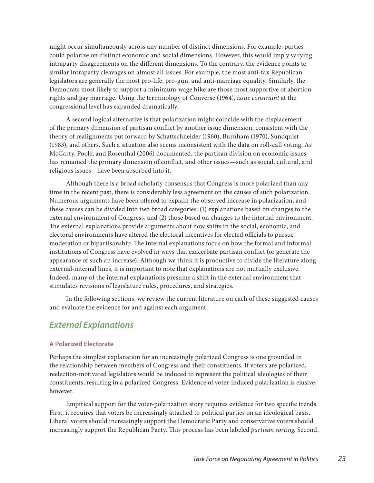might occur simultaneously across any number of distinct dimensions. For example, parties could polarize on distinct economic and social dimensions. However, this would imply varying intraparty disagreements on the different dimensions. To the contrary, the evidence points to similar intraparty cleavages on almost all issues. For example, the most anti-tax Republican legislators are generally the most pro-life, pro-gun, and anti-marriage equality. Similarly, the Democrats most likely to support a minimum-wage hike are those most supportive of abortion rights and gay marriage. Using the terminology of Converse (1964), *issue constraint* at the congressional level has expanded dramatically.

A second logical alternative is that polarization might coincide with the displacement of the primary dimension of partisan conflict by another issue dimension, consistent with the theory of realignments put forward by Schattschneider (1960), Burnham (1970), Sundquist (1983), and others. Such a situation also seems inconsistent with the data on roll-call voting. As McCarty, Poole, and Rosenthal (2006) documented, the partisan division on economic issues has remained the primary dimension of conflict, and other issues—such as social, cultural, and religious issues—have been absorbed into it.

Although there is a broad scholarly consensus that Congress is more polarized than any time in the recent past, there is considerably less agreement on the causes of such polarization. Numerous arguments have been offered to explain the observed increase in polarization, and these causes can be divided into two broad categories: (1) explanations based on changes to the external environment of Congress, and (2) those based on changes to the internal environment. The external explanations provide arguments about how shifts in the social, economic, and electoral environments have altered the electoral incentives for elected officials to pursue moderation or bipartisanship. The internal explanations focus on how the formal and informal institutions of Congress have evolved in ways that exacerbate partisan conflict (or generate the appearance of such an increase). Although we think it is productive to divide the literature along external-internal lines, it is important to note that explanations are not mutually exclusive. Indeed, many of the internal explanations presume a shift in the external environment that stimulates revisions of legislature rules, procedures, and strategies.

In the following sections, we review the current literature on each of these suggested causes and evaluate the evidence for and against each argument.

## *External Explanations*

## **A Polarized Electorate**

Perhaps the simplest explanation for an increasingly polarized Congress is one grounded in the relationship between members of Congress and their constituents. If voters are polarized, reelection-motivated legislators would be induced to represent the political ideologies of their constituents, resulting in a polarized Congress. Evidence of voter-induced polarization is elusive, however.

Empirical support for the voter-polarization story requires evidence for two specific trends. First, it requires that voters be increasingly attached to political parties on an ideological basis. Liberal voters should increasingly support the Democratic Party and conservative voters should increasingly support the Republican Party. This process has been labeled *partisan sorting*. Second,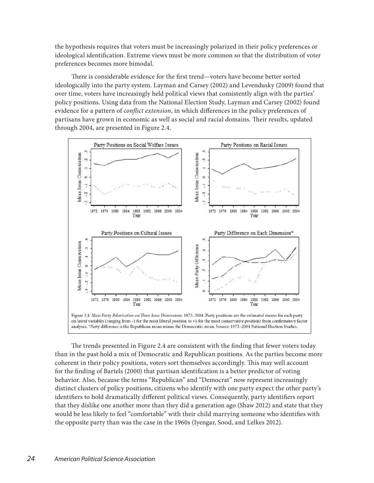the hypothesis requires that voters must be increasingly polarized in their policy preferences or ideological identification. Extreme views must be more common so that the distribution of voter preferences becomes more bimodal.

There is considerable evidence for the first trend—voters have become better sorted ideologically into the party system. Layman and Carsey (2002) and Levendusky (2009) found that over time, voters have increasingly held political views that consistently align with the parties' policy positions. Using data from the National Election Study, Layman and Carsey (2002) found evidence for a pattern of *conflict extension*, in which differences in the policy preferences of partisans have grown in economic as well as social and racial domains. Their results, updated through 2004, are presented in Figure 2.4.



The trends presented in Figure 2.4 are consistent with the finding that fewer voters today than in the past hold a mix of Democratic and Republican positions. As the parties become more coherent in their policy positions, voters sort themselves accordingly. This may well account for the finding of Bartels (2000) that partisan identification is a better predictor of voting behavior. Also, because the terms "Republican" and "Democrat" now represent increasingly distinct clusters of policy positions, citizens who identify with one party expect the other party's identifiers to hold dramatically different political views. Consequently, party identifiers report that they dislike one another more than they did a generation ago (Shaw 2012) and state that they would be less likely to feel "comfortable" with their child marrying someone who identifies with the opposite party than was the case in the 1960s (Iyengar, Sood, and Lelkes 2012).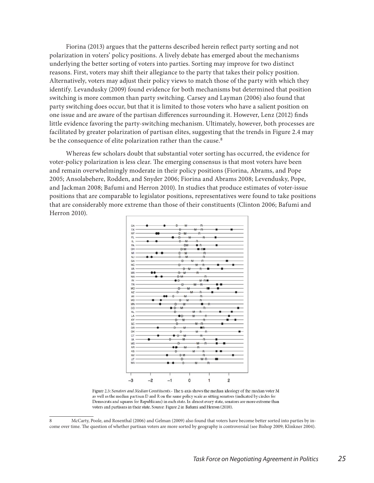Fiorina (2013) argues that the patterns described herein reflect party sorting and not polarization in voters' policy positions. A lively debate has emerged about the mechanisms underlying the better sorting of voters into parties. Sorting may improve for two distinct reasons. First, voters may shift their allegiance to the party that takes their policy position. Alternatively, voters may adjust their policy views to match those of the party with which they identify. Levandusky (2009) found evidence for both mechanisms but determined that position switching is more common than party switching. Carsey and Layman (2006) also found that party switching does occur, but that it is limited to those voters who have a salient position on one issue and are aware of the partisan differences surrounding it. However, Lenz (2012) finds little evidence favoring the party-switching mechanism. Ultimately, however, both processes are facilitated by greater polarization of partisan elites, suggesting that the trends in Figure 2.4 may be the consequence of elite polarization rather than the cause.<sup>8</sup>

Whereas few scholars doubt that substantial voter sorting has occurred, the evidence for voter-policy polarization is less clear. The emerging consensus is that most voters have been and remain overwhelmingly moderate in their policy positions (Fiorina, Abrams, and Pope 2005; Ansolabehere, Rodden, and Snyder 2006; Fiorina and Abrams 2008; Levendusky, Pope, and Jackman 2008; Bafumi and Herron 2010). In studies that produce estimates of voter-issue positions that are comparable to legislator positions, representatives were found to take positions that are considerably more extreme than those of their constituents (Clinton 2006; Bafumi and Herron 2010).



Figure 2.5: Senators and Median Constituents.- The x-axis shows the median ideology of the median voter M as well as the median partisan D and R on the same policy scale as sitting senators (indicated by circles for Democrats and squares for Republicans) in each state. In almost every state, senators are more extreme than voters and partisans in their state. Source: Figure 2 in Bafumi and Herron (2010).

8 McCarty, Poole, and Rosenthal (2006) and Gelman (2009) also found that voters have become better sorted into parties by income over time. The question of whether partisan voters are more sorted by geography is controversial (see Bishop 2009; Klinkner 2004).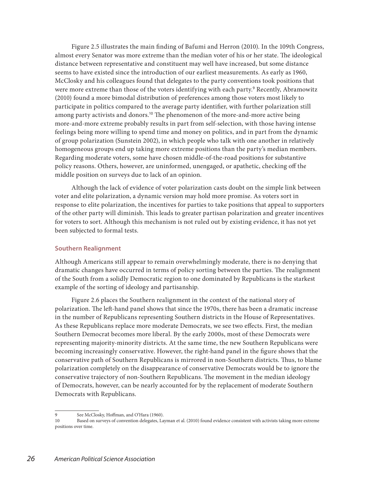Figure 2.5 illustrates the main finding of Bafumi and Herron (2010). In the 109th Congress, almost every Senator was more extreme than the median voter of his or her state. The ideological distance between representative and constituent may well have increased, but some distance seems to have existed since the introduction of our earliest measurements. As early as 1960, McClosky and his colleagues found that delegates to the party conventions took positions that were more extreme than those of the voters identifying with each party.<sup>9</sup> Recently, Abramowitz (2010) found a more bimodal distribution of preferences among those voters most likely to participate in politics compared to the average party identifier, with further polarization still among party activists and donors.<sup>10</sup> The phenomenon of the more-and-more active being more-and-more extreme probably results in part from self-selection, with those having intense feelings being more willing to spend time and money on politics, and in part from the dynamic of group polarization (Sunstein 2002), in which people who talk with one another in relatively homogeneous groups end up taking more extreme positions than the party's median members. Regarding moderate voters, some have chosen middle-of-the-road positions for substantive policy reasons. Others, however, are uninformed, unengaged, or apathetic, checking off the middle position on surveys due to lack of an opinion.

Although the lack of evidence of voter polarization casts doubt on the simple link between voter and elite polarization, a dynamic version may hold more promise. As voters sort in response to elite polarization, the incentives for parties to take positions that appeal to supporters of the other party will diminish. This leads to greater partisan polarization and greater incentives for voters to sort. Although this mechanism is not ruled out by existing evidence, it has not yet been subjected to formal tests.

## **Southern Realignment**

Although Americans still appear to remain overwhelmingly moderate, there is no denying that dramatic changes have occurred in terms of policy sorting between the parties. The realignment of the South from a solidly Democratic region to one dominated by Republicans is the starkest example of the sorting of ideology and partisanship.

Figure 2.6 places the Southern realignment in the context of the national story of polarization. The left-hand panel shows that since the 1970s, there has been a dramatic increase in the number of Republicans representing Southern districts in the House of Representatives. As these Republicans replace more moderate Democrats, we see two effects. First, the median Southern Democrat becomes more liberal. By the early 2000s, most of these Democrats were representing majority-minority districts. At the same time, the new Southern Republicans were becoming increasingly conservative. However, the right-hand panel in the figure shows that the conservative path of Southern Republicans is mirrored in non-Southern districts. Thus, to blame polarization completely on the disappearance of conservative Democrats would be to ignore the conservative trajectory of non-Southern Republicans. The movement in the median ideology of Democrats, however, can be nearly accounted for by the replacement of moderate Southern Democrats with Republicans.

<sup>9</sup> See McClosky, Hoffman, and O'Hara (1960).

<sup>10</sup> Based on surveys of convention delegates, Layman et al. (2010) found evidence consistent with activists taking more extreme positions over time.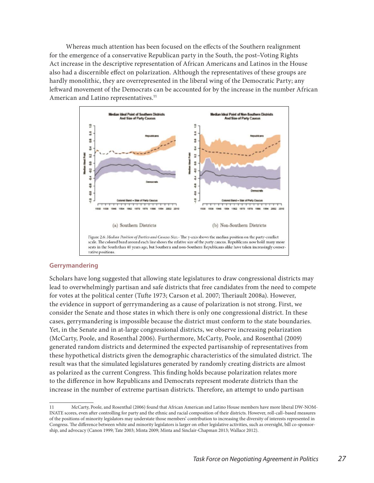Whereas much attention has been focused on the effects of the Southern realignment for the emergence of a conservative Republican party in the South, the post–Voting Rights Act increase in the descriptive representation of African Americans and Latinos in the House also had a discernible effect on polarization. Although the representatives of these groups are hardly monolithic, they are overrepresented in the liberal wing of the Democratic Party; any leftward movement of the Democrats can be accounted for by the increase in the number African American and Latino representatives.<sup>11</sup>



#### **Gerrymandering**

Scholars have long suggested that allowing state legislatures to draw congressional districts may lead to overwhelmingly partisan and safe districts that free candidates from the need to compete for votes at the political center (Tufte 1973; Carson et al. 2007; Theriault 2008a). However, the evidence in support of gerrymandering as a cause of polarization is not strong. First, we consider the Senate and those states in which there is only one congressional district. In these cases, gerrymandering is impossible because the district must conform to the state boundaries. Yet, in the Senate and in at-large congressional districts, we observe increasing polarization (McCarty, Poole, and Rosenthal 2006). Furthermore, McCarty, Poole, and Rosenthal (2009) generated random districts and determined the expected partisanship of representatives from these hypothetical districts given the demographic characteristics of the simulated district. The result was that the simulated legislatures generated by randomly creating districts are almost as polarized as the current Congress. This finding holds because polarization relates more to the difference in how Republicans and Democrats represent moderate districts than the increase in the number of extreme partisan districts. Therefore, an attempt to undo partisan

<sup>11</sup> McCarty, Poole, and Rosenthal (2006) found that African American and Latino House members have more liberal DW-NOM-INATE scores, even after controlling for party and the ethnic and racial composition of their districts. However, roll-call–based measures of the positions of minority legislators may understate those members' contribution to increasing the diversity of interests represented in Congress. The difference between white and minority legislators is larger on other legislative activities, such as oversight, bill co-sponsorship, and advocacy (Canon 1999; Tate 2003; Minta 2009; Minta and Sinclair-Chapman 2013; Wallace 2012).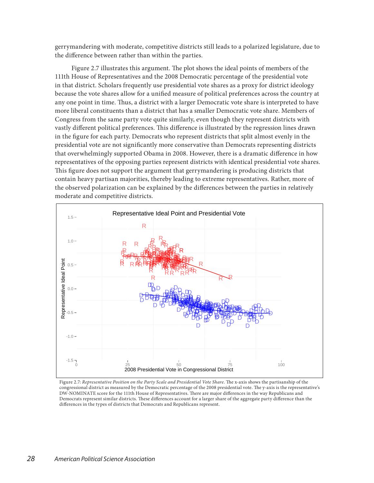gerrymandering with moderate, competitive districts still leads to a polarized legislature, due to the difference between rather than within the parties.

Figure 2.7 illustrates this argument. The plot shows the ideal points of members of the 111th House of Representatives and the 2008 Democratic percentage of the presidential vote in that district. Scholars frequently use presidential vote shares as a proxy for district ideology because the vote shares allow for a unified measure of political preferences across the country at any one point in time. Thus, a district with a larger Democratic vote share is interpreted to have more liberal constituents than a district that has a smaller Democratic vote share. Members of Congress from the same party vote quite similarly, even though they represent districts with vastly different political preferences. This difference is illustrated by the regression lines drawn in the figure for each party. Democrats who represent districts that split almost evenly in the presidential vote are not significantly more conservative than Democrats representing districts that overwhelmingly supported Obama in 2008. However, there is a dramatic difference in how representatives of the opposing parties represent districts with identical presidential vote shares. This figure does not support the argument that gerrymandering is producing districts that contain heavy partisan majorities, thereby leading to extreme representatives. Rather, more of the observed polarization can be explained by the differences between the parties in relatively moderate and competitive districts.



Figure 2.7: *Representative Position on the Party Scale and Presidential Vote Share*. The x-axis shows the partisanship of the congressional district as measured by the Democratic percentage of the 2008 presidential vote. The y-axis is the representative's DW-NOMINATE score for the 111th House of Representatives. There are major differences in the way Republicans and Democrats represent similar districts. These differences account for a larger share of the aggregate party difference than the differences in the types of districts that Democrats and Republicans represent.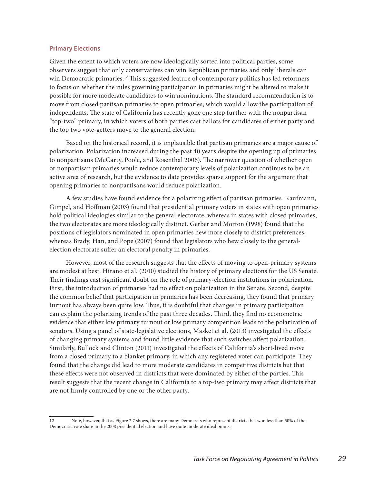#### **Primary Elections**

Given the extent to which voters are now ideologically sorted into political parties, some observers suggest that only conservatives can win Republican primaries and only liberals can win Democratic primaries.<sup>12</sup> This suggested feature of contemporary politics has led reformers to focus on whether the rules governing participation in primaries might be altered to make it possible for more moderate candidates to win nominations. The standard recommendation is to move from closed partisan primaries to open primaries, which would allow the participation of independents. The state of California has recently gone one step further with the nonpartisan "top-two" primary, in which voters of both parties cast ballots for candidates of either party and the top two vote-getters move to the general election.

Based on the historical record, it is implausible that partisan primaries are a major cause of polarization. Polarization increased during the past 40 years despite the opening up of primaries to nonpartisans (McCarty, Poole, and Rosenthal 2006). The narrower question of whether open or nonpartisan primaries would reduce contemporary levels of polarization continues to be an active area of research, but the evidence to date provides sparse support for the argument that opening primaries to nonpartisans would reduce polarization.

A few studies have found evidence for a polarizing effect of partisan primaries. Kaufmann, Gimpel, and Hoffman (2003) found that presidential primary voters in states with open primaries hold political ideologies similar to the general electorate, whereas in states with closed primaries, the two electorates are more ideologically distinct. Gerber and Morton (1998) found that the positions of legislators nominated in open primaries hew more closely to district preferences, whereas Brady, Han, and Pope (2007) found that legislators who hew closely to the generalelection electorate suffer an electoral penalty in primaries.

However, most of the research suggests that the effects of moving to open-primary systems are modest at best. Hirano et al. (2010) studied the history of primary elections for the US Senate. Their findings cast significant doubt on the role of primary-election institutions in polarization. First, the introduction of primaries had no effect on polarization in the Senate. Second, despite the common belief that participation in primaries has been decreasing, they found that primary turnout has always been quite low. Thus, it is doubtful that changes in primary participation can explain the polarizing trends of the past three decades. Third, they find no econometric evidence that either low primary turnout or low primary competition leads to the polarization of senators. Using a panel of state-legislative elections, Masket et al. (2013) investigated the effects of changing primary systems and found little evidence that such switches affect polarization. Similarly, Bullock and Clinton (2011) investigated the effects of California's short-lived move from a closed primary to a blanket primary, in which any registered voter can participate. They found that the change did lead to more moderate candidates in competitive districts but that these effects were not observed in districts that were dominated by either of the parties. This result suggests that the recent change in California to a top-two primary may affect districts that are not firmly controlled by one or the other party.

<sup>12</sup> Note, however, that as Figure 2.7 shows, there are many Democrats who represent districts that won less than 50% of the Democratic vote share in the 2008 presidential election and have quite moderate ideal points.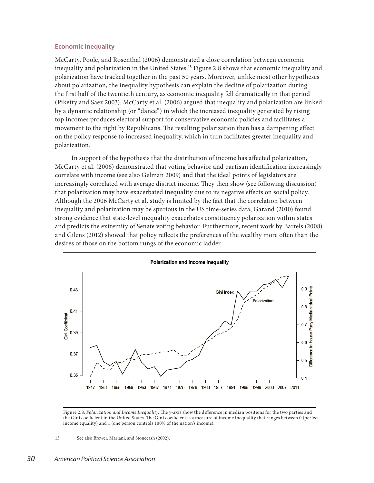### **Economic Inequality**

McCarty, Poole, and Rosenthal (2006) demonstrated a close correlation between economic inequality and polarization in the United States.<sup>13</sup> Figure 2.8 shows that economic inequality and polarization have tracked together in the past 50 years. Moreover, unlike most other hypotheses about polarization, the inequality hypothesis can explain the decline of polarization during the first half of the twentieth century, as economic inequality fell dramatically in that period (Piketty and Saez 2003). McCarty et al. (2006) argued that inequality and polarization are linked by a dynamic relationship (or "dance") in which the increased inequality generated by rising top incomes produces electoral support for conservative economic policies and facilitates a movement to the right by Republicans. The resulting polarization then has a dampening effect on the policy response to increased inequality, which in turn facilitates greater inequality and polarization.

In support of the hypothesis that the distribution of income has affected polarization, McCarty et al. (2006) demonstrated that voting behavior and partisan identification increasingly correlate with income (see also Gelman 2009) and that the ideal points of legislators are increasingly correlated with average district income. They then show (see following discussion) that polarization may have exacerbated inequality due to its negative effects on social policy. Although the 2006 McCarty et al. study is limited by the fact that the correlation between inequality and polarization may be spurious in the US time-series data, Garand (2010) found strong evidence that state-level inequality exacerbates constituency polarization within states and predicts the extremity of Senate voting behavior. Furthermore, recent work by Bartels (2008) and Gilens (2012) showed that policy reflects the preferences of the wealthy more often than the desires of those on the bottom rungs of the economic ladder.



Figure 2.8: *Polarization and Income Inequality.* The y-axis show the difference in median positions for the two parties and the Gini coefficient in the United States. The Gini coefficient is a measure of income inequality that ranges between 0 (perfect income equality) and 1 (one person controls 100% of the nation's income).

<sup>13</sup> See also Brewer, Mariani, and Stonecash (2002).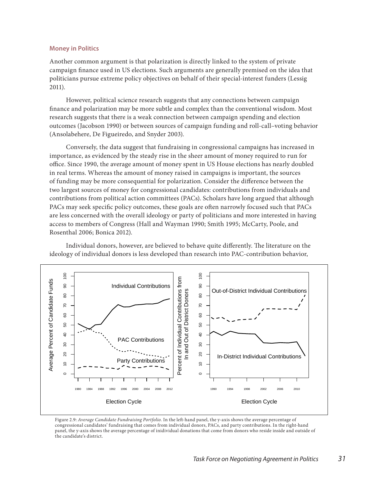#### **Money in Politics**

Another common argument is that polarization is directly linked to the system of private campaign finance used in US elections. Such arguments are generally premised on the idea that politicians pursue extreme policy objectives on behalf of their special-interest funders (Lessig 2011).

However, political science research suggests that any connections between campaign finance and polarization may be more subtle and complex than the conventional wisdom. Most research suggests that there is a weak connection between campaign spending and election outcomes (Jacobson 1990) or between sources of campaign funding and roll-call–voting behavior (Ansolabehere, De Figueiredo, and Snyder 2003).

Conversely, the data suggest that fundraising in congressional campaigns has increased in importance, as evidenced by the steady rise in the sheer amount of money required to run for office. Since 1990, the average amount of money spent in US House elections has nearly doubled in real terms. Whereas the amount of money raised in campaigns is important, the sources of funding may be more consequential for polarization. Consider the difference between the two largest sources of money for congressional candidates: contributions from individuals and contributions from political action committees (PACs). Scholars have long argued that although PACs may seek specific policy outcomes, these goals are often narrowly focused such that PACs are less concerned with the overall ideology or party of politicians and more interested in having access to members of Congress (Hall and Wayman 1990; Smith 1995; McCarty, Poole, and Rosenthal 2006; Bonica 2012).

Individual donors, however, are believed to behave quite differently. The literature on the ideology of individual donors is less developed than research into PAC-contribution behavior,



Figure 2.9: *Average Candidate Fundraising Portfolio.* In the left-hand panel, the y-axis shows the average percentage of congressional candidates' fundraising that comes from individual donors, PACs, and party contributions. In the right-hand panel, the y-axis shows the average percentage of inidividual donations that come from donors who reside inside and outside of the candidate's district.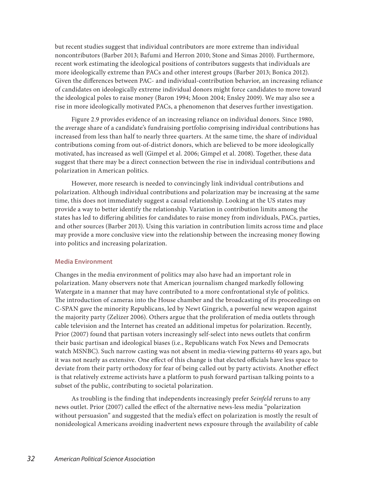but recent studies suggest that individual contributors are more extreme than individual noncontributors (Barber 2013; Bafumi and Herron 2010; Stone and Simas 2010). Furthermore, recent work estimating the ideological positions of contributors suggests that individuals are more ideologically extreme than PACs and other interest groups (Barber 2013; Bonica 2012). Given the differences between PAC- and individual-contribution behavior, an increasing reliance of candidates on ideologically extreme individual donors might force candidates to move toward the ideological poles to raise money (Baron 1994; Moon 2004; Ensley 2009). We may also see a rise in more ideologically motivated PACs, a phenomenon that deserves further investigation.

Figure 2.9 provides evidence of an increasing reliance on individual donors. Since 1980, the average share of a candidate's fundraising portfolio comprising individual contributions has increased from less than half to nearly three quarters. At the same time, the share of individual contributions coming from out-of-district donors, which are believed to be more ideologically motivated, has increased as well (Gimpel et al. 2006; Gimpel et al. 2008). Together, these data suggest that there may be a direct connection between the rise in individual contributions and polarization in American politics.

However, more research is needed to convincingly link individual contributions and polarization. Although individual contributions and polarization may be increasing at the same time, this does not immediately suggest a causal relationship. Looking at the US states may provide a way to better identify the relationship. Variation in contribution limits among the states has led to differing abilities for candidates to raise money from individuals, PACs, parties, and other sources (Barber 2013). Using this variation in contribution limits across time and place may provide a more conclusive view into the relationship between the increasing money flowing into politics and increasing polarization.

## **Media Environment**

Changes in the media environment of politics may also have had an important role in polarization. Many observers note that American journalism changed markedly following Watergate in a manner that may have contributed to a more confrontational style of politics. The introduction of cameras into the House chamber and the broadcasting of its proceedings on C-SPAN gave the minority Republicans, led by Newt Gingrich, a powerful new weapon against the majority party (Zelizer 2006). Others argue that the proliferation of media outlets through cable television and the Internet has created an additional impetus for polarization. Recently, Prior (2007) found that partisan voters increasingly self-select into news outlets that confirm their basic partisan and ideological biases (i.e., Republicans watch Fox News and Democrats watch MSNBC). Such narrow casting was not absent in media-viewing patterns 40 years ago, but it was not nearly as extensive. One effect of this change is that elected officials have less space to deviate from their party orthodoxy for fear of being called out by party activists. Another effect is that relatively extreme activists have a platform to push forward partisan talking points to a subset of the public, contributing to societal polarization.

As troubling is the finding that independents increasingly prefer *Seinfeld* reruns to any news outlet. Prior (2007) called the effect of the alternative news-less media "polarization without persuasion" and suggested that the media's effect on polarization is mostly the result of nonideological Americans avoiding inadvertent news exposure through the availability of cable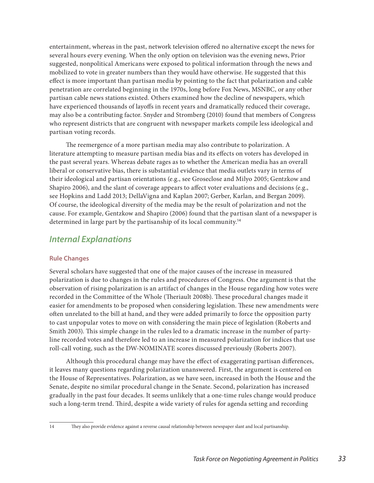entertainment, whereas in the past, network television offered no alternative except the news for several hours every evening. When the only option on television was the evening news, Prior suggested, nonpolitical Americans were exposed to political information through the news and mobilized to vote in greater numbers than they would have otherwise. He suggested that this effect is more important than partisan media by pointing to the fact that polarization and cable penetration are correlated beginning in the 1970s, long before Fox News, MSNBC, or any other partisan cable news stations existed. Others examined how the decline of newspapers, which have experienced thousands of layoffs in recent years and dramatically reduced their coverage, may also be a contributing factor. Snyder and Stromberg (2010) found that members of Congress who represent districts that are congruent with newspaper markets compile less ideological and partisan voting records.

The reemergence of a more partisan media may also contribute to polarization. A literature attempting to measure partisan media bias and its effects on voters has developed in the past several years. Whereas debate rages as to whether the American media has an overall liberal or conservative bias, there is substantial evidence that media outlets vary in terms of their ideological and partisan orientations (e.g., see Groseclose and Milyo 2005; Gentzkow and Shapiro 2006), and the slant of coverage appears to affect voter evaluations and decisions (e.g., see Hopkins and Ladd 2013; DellaVigna and Kaplan 2007; Gerber, Karlan, and Bergan 2009). Of course, the ideological diversity of the media may be the result of polarization and not the cause. For example, Gentzkow and Shapiro (2006) found that the partisan slant of a newspaper is determined in large part by the partisanship of its local community.<sup>14</sup>

## *Internal Explanations*

## **Rule Changes**

Several scholars have suggested that one of the major causes of the increase in measured polarization is due to changes in the rules and procedures of Congress. One argument is that the observation of rising polarization is an artifact of changes in the House regarding how votes were recorded in the Committee of the Whole (Theriault 2008b). These procedural changes made it easier for amendments to be proposed when considering legislation. These new amendments were often unrelated to the bill at hand, and they were added primarily to force the opposition party to cast unpopular votes to move on with considering the main piece of legislation (Roberts and Smith 2003). This simple change in the rules led to a dramatic increase in the number of partyline recorded votes and therefore led to an increase in measured polarization for indices that use roll-call voting, such as the DW-NOMINATE scores discussed previously (Roberts 2007).

Although this procedural change may have the effect of exaggerating partisan differences, it leaves many questions regarding polarization unanswered. First, the argument is centered on the House of Representatives. Polarization, as we have seen, increased in both the House and the Senate, despite no similar procedural change in the Senate. Second, polarization has increased gradually in the past four decades. It seems unlikely that a one-time rules change would produce such a long-term trend. Third, despite a wide variety of rules for agenda setting and recording

<sup>14</sup> They also provide evidence against a reverse causal relationship between newspaper slant and local partisanship.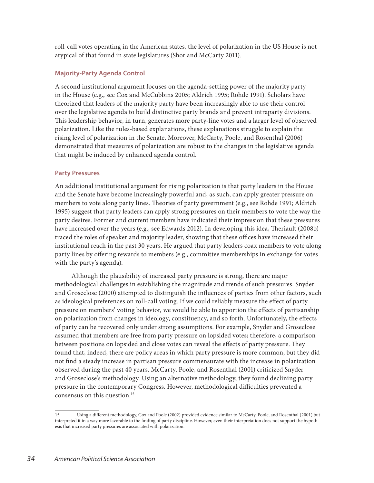roll-call votes operating in the American states, the level of polarization in the US House is not atypical of that found in state legislatures (Shor and McCarty 2011).

## **Majority-Party Agenda Control**

A second institutional argument focuses on the agenda-setting power of the majority party in the House (e.g., see Cox and McCubbins 2005; Aldrich 1995; Rohde 1991). Scholars have theorized that leaders of the majority party have been increasingly able to use their control over the legislative agenda to build distinctive party brands and prevent intraparty divisions. This leadership behavior, in turn, generates more party-line votes and a larger level of observed polarization. Like the rules-based explanations, these explanations struggle to explain the rising level of polarization in the Senate. Moreover, McCarty, Poole, and Rosenthal (2006) demonstrated that measures of polarization are robust to the changes in the legislative agenda that might be induced by enhanced agenda control.

### **Party Pressures**

An additional institutional argument for rising polarization is that party leaders in the House and the Senate have become increasingly powerful and, as such, can apply greater pressure on members to vote along party lines. Theories of party government (e.g., see Rohde 1991; Aldrich 1995) suggest that party leaders can apply strong pressures on their members to vote the way the party desires. Former and current members have indicated their impression that these pressures have increased over the years (e.g., see Edwards 2012). In developing this idea, Theriault (2008b) traced the roles of speaker and majority leader, showing that these offices have increased their institutional reach in the past 30 years. He argued that party leaders coax members to vote along party lines by offering rewards to members (e.g., committee memberships in exchange for votes with the party's agenda).

Although the plausibility of increased party pressure is strong, there are major methodological challenges in establishing the magnitude and trends of such pressures. Snyder and Groseclose (2000) attempted to distinguish the influences of parties from other factors, such as ideological preferences on roll-call voting. If we could reliably measure the effect of party pressure on members' voting behavior, we would be able to apportion the effects of partisanship on polarization from changes in ideology, constituency, and so forth. Unfortunately, the effects of party can be recovered only under strong assumptions. For example, Snyder and Groseclose assumed that members are free from party pressure on lopsided votes; therefore, a comparison between positions on lopsided and close votes can reveal the effects of party pressure. They found that, indeed, there are policy areas in which party pressure is more common, but they did not find a steady increase in partisan pressure commensurate with the increase in polarization observed during the past 40 years. McCarty, Poole, and Rosenthal (2001) criticized Snyder and Groseclose's methodology. Using an alternative methodology, they found declining party pressure in the contemporary Congress. However, methodological difficulties prevented a consensus on this question.<sup>15</sup>

<sup>15</sup> Using a different methodology, Cox and Poole (2002) provided evidence similar to McCarty, Poole, and Rosenthal (2001) but interpreted it in a way more favorable to the finding of party discipline. However, even their interpretation does not support the hypothesis that increased party pressures are associated with polarization.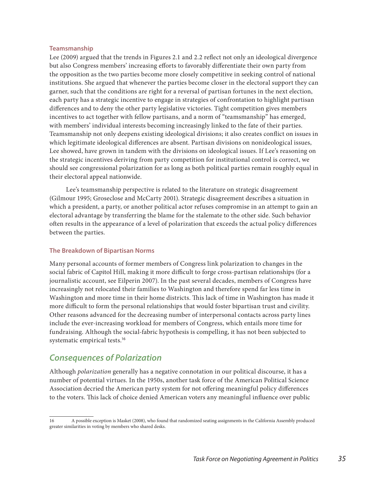#### **Teamsmanship**

Lee (2009) argued that the trends in Figures 2.1 and 2.2 reflect not only an ideological divergence but also Congress members' increasing efforts to favorably differentiate their own party from the opposition as the two parties become more closely competitive in seeking control of national institutions. She argued that whenever the parties become closer in the electoral support they can garner, such that the conditions are right for a reversal of partisan fortunes in the next election, each party has a strategic incentive to engage in strategies of confrontation to highlight partisan differences and to deny the other party legislative victories. Tight competition gives members incentives to act together with fellow partisans, and a norm of "teamsmanship" has emerged, with members' individual interests becoming increasingly linked to the fate of their parties. Teamsmanship not only deepens existing ideological divisions; it also creates conflict on issues in which legitimate ideological differences are absent. Partisan divisions on nonideological issues, Lee showed, have grown in tandem with the divisions on ideological issues. If Lee's reasoning on the strategic incentives deriving from party competition for institutional control is correct, we should see congressional polarization for as long as both political parties remain roughly equal in their electoral appeal nationwide.

Lee's teamsmanship perspective is related to the literature on strategic disagreement (Gilmour 1995; Groseclose and McCarty 2001). Strategic disagreement describes a situation in which a president, a party, or another political actor refuses compromise in an attempt to gain an electoral advantage by transferring the blame for the stalemate to the other side. Such behavior often results in the appearance of a level of polarization that exceeds the actual policy differences between the parties.

#### **The Breakdown of Bipartisan Norms**

Many personal accounts of former members of Congress link polarization to changes in the social fabric of Capitol Hill, making it more difficult to forge cross-partisan relationships (for a journalistic account, see Eilperin 2007). In the past several decades, members of Congress have increasingly not relocated their families to Washington and therefore spend far less time in Washington and more time in their home districts. This lack of time in Washington has made it more difficult to form the personal relationships that would foster bipartisan trust and civility. Other reasons advanced for the decreasing number of interpersonal contacts across party lines include the ever-increasing workload for members of Congress, which entails more time for fundraising. Although the social-fabric hypothesis is compelling, it has not been subjected to systematic empirical tests.<sup>16</sup>

## *Consequences of Polarization*

Although *polarization* generally has a negative connotation in our political discourse, it has a number of potential virtues. In the 1950s, another task force of the American Political Science Association decried the American party system for not offering meaningful policy differences to the voters. This lack of choice denied American voters any meaningful influence over public

<sup>16</sup> A possible exception is Masket (2008), who found that randomized seating assignments in the California Assembly produced greater similarities in voting by members who shared desks.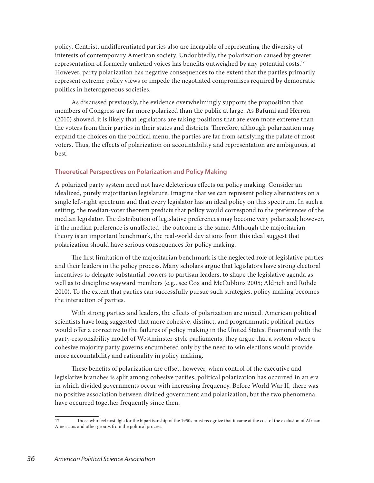policy. Centrist, undifferentiated parties also are incapable of representing the diversity of interests of contemporary American society. Undoubtedly, the polarization caused by greater representation of formerly unheard voices has benefits outweighed by any potential costs.<sup>17</sup> However, party polarization has negative consequences to the extent that the parties primarily represent extreme policy views or impede the negotiated compromises required by democratic politics in heterogeneous societies.

As discussed previously, the evidence overwhelmingly supports the proposition that members of Congress are far more polarized than the public at large. As Bafumi and Herron (2010) showed, it is likely that legislators are taking positions that are even more extreme than the voters from their parties in their states and districts. Therefore, although polarization may expand the choices on the political menu, the parties are far from satisfying the palate of most voters. Thus, the effects of polarization on accountability and representation are ambiguous, at best.

### **Theoretical Perspectives on Polarization and Policy Making**

A polarized party system need not have deleterious effects on policy making. Consider an idealized, purely majoritarian legislature. Imagine that we can represent policy alternatives on a single left-right spectrum and that every legislator has an ideal policy on this spectrum. In such a setting, the median-voter theorem predicts that policy would correspond to the preferences of the median legislator. The distribution of legislative preferences may become very polarized; however, if the median preference is unaffected, the outcome is the same. Although the majoritarian theory is an important benchmark, the real-world deviations from this ideal suggest that polarization should have serious consequences for policy making.

The first limitation of the majoritarian benchmark is the neglected role of legislative parties and their leaders in the policy process. Many scholars argue that legislators have strong electoral incentives to delegate substantial powers to partisan leaders, to shape the legislative agenda as well as to discipline wayward members (e.g., see Cox and McCubbins 2005; Aldrich and Rohde 2010). To the extent that parties can successfully pursue such strategies, policy making becomes the interaction of parties.

With strong parties and leaders, the effects of polarization are mixed. American political scientists have long suggested that more cohesive, distinct, and programmatic political parties would offer a corrective to the failures of policy making in the United States. Enamored with the party-responsibility model of Westminster-style parliaments, they argue that a system where a cohesive majority party governs encumbered only by the need to win elections would provide more accountability and rationality in policy making.

These benefits of polarization are offset, however, when control of the executive and legislative branches is split among cohesive parties; political polarization has occurred in an era in which divided governments occur with increasing frequency. Before World War II, there was no positive association between divided government and polarization, but the two phenomena have occurred together frequently since then.

<sup>17</sup> Those who feel nostalgia for the bipartisanship of the 1950s must recognize that it came at the cost of the exclusion of African Americans and other groups from the political process.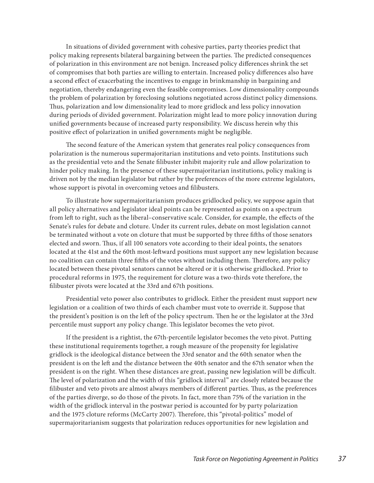In situations of divided government with cohesive parties, party theories predict that policy making represents bilateral bargaining between the parties. The predicted consequences of polarization in this environment are not benign. Increased policy differences shrink the set of compromises that both parties are willing to entertain. Increased policy differences also have a second effect of exacerbating the incentives to engage in brinkmanship in bargaining and negotiation, thereby endangering even the feasible compromises. Low dimensionality compounds the problem of polarization by foreclosing solutions negotiated across distinct policy dimensions. Thus, polarization and low dimensionality lead to more gridlock and less policy innovation during periods of divided government. Polarization might lead to more policy innovation during unified governments because of increased party responsibility. We discuss herein why this positive effect of polarization in unified governments might be negligible.

The second feature of the American system that generates real policy consequences from polarization is the numerous supermajoritarian institutions and veto points. Institutions such as the presidential veto and the Senate filibuster inhibit majority rule and allow polarization to hinder policy making. In the presence of these supermajoritarian institutions, policy making is driven not by the median legislator but rather by the preferences of the more extreme legislators, whose support is pivotal in overcoming vetoes and filibusters.

To illustrate how supermajoritarianism produces gridlocked policy, we suppose again that all policy alternatives and legislator ideal points can be represented as points on a spectrum from left to right, such as the liberal–conservative scale. Consider, for example, the effects of the Senate's rules for debate and cloture. Under its current rules, debate on most legislation cannot be terminated without a vote on cloture that must be supported by three fifths of those senators elected and sworn. Thus, if all 100 senators vote according to their ideal points, the senators located at the 41st and the 60th most-leftward positions must support any new legislation because no coalition can contain three fifths of the votes without including them. Therefore, any policy located between these pivotal senators cannot be altered or it is otherwise gridlocked. Prior to procedural reforms in 1975, the requirement for cloture was a two-thirds vote therefore, the filibuster pivots were located at the 33rd and 67th positions.

Presidential veto power also contributes to gridlock. Either the president must support new legislation or a coalition of two thirds of each chamber must vote to override it. Suppose that the president's position is on the left of the policy spectrum. Then he or the legislator at the 33rd percentile must support any policy change. This legislator becomes the veto pivot.

If the president is a rightist, the 67th-percentile legislator becomes the veto pivot. Putting these institutional requirements together, a rough measure of the propensity for legislative gridlock is the ideological distance between the 33rd senator and the 60th senator when the president is on the left and the distance between the 40th senator and the 67th senator when the president is on the right. When these distances are great, passing new legislation will be difficult. The level of polarization and the width of this "gridlock interval" are closely related because the filibuster and veto pivots are almost always members of different parties. Thus, as the preferences of the parties diverge, so do those of the pivots. In fact, more than 75% of the variation in the width of the gridlock interval in the postwar period is accounted for by party polarization and the 1975 cloture reforms (McCarty 2007). Therefore, this "pivotal-politics" model of supermajoritarianism suggests that polarization reduces opportunities for new legislation and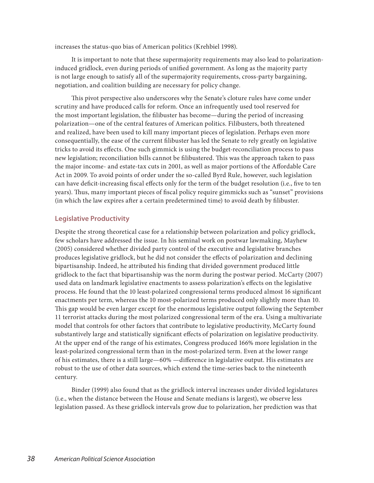increases the status-quo bias of American politics (Krehbiel 1998).

It is important to note that these supermajority requirements may also lead to polarizationinduced gridlock, even during periods of unified government. As long as the majority party is not large enough to satisfy all of the supermajority requirements, cross-party bargaining, negotiation, and coalition building are necessary for policy change.

This pivot perspective also underscores why the Senate's cloture rules have come under scrutiny and have produced calls for reform. Once an infrequently used tool reserved for the most important legislation, the filibuster has become—during the period of increasing polarization—one of the central features of American politics. Filibusters, both threatened and realized, have been used to kill many important pieces of legislation. Perhaps even more consequentially, the ease of the current filibuster has led the Senate to rely greatly on legislative tricks to avoid its effects. One such gimmick is using the budget-reconciliation process to pass new legislation; reconciliation bills cannot be filibustered. This was the approach taken to pass the major income- and estate-tax cuts in 2001, as well as major portions of the Affordable Care Act in 2009. To avoid points of order under the so-called Byrd Rule, however, such legislation can have deficit-increasing fiscal effects only for the term of the budget resolution (i.e., five to ten years). Thus, many important pieces of fiscal policy require gimmicks such as "sunset" provisions (in which the law expires after a certain predetermined time) to avoid death by filibuster.

## **Legislative Productivity**

Despite the strong theoretical case for a relationship between polarization and policy gridlock, few scholars have addressed the issue. In his seminal work on postwar lawmaking, Mayhew (2005) considered whether divided party control of the executive and legislative branches produces legislative gridlock, but he did not consider the effects of polarization and declining bipartisanship. Indeed, he attributed his finding that divided government produced little gridlock to the fact that bipartisanship was the norm during the postwar period. McCarty (2007) used data on landmark legislative enactments to assess polarization's effects on the legislative process. He found that the 10 least-polarized congressional terms produced almost 16 significant enactments per term, whereas the 10 most-polarized terms produced only slightly more than 10. This gap would be even larger except for the enormous legislative output following the September 11 terrorist attacks during the most polarized congressional term of the era. Using a multivariate model that controls for other factors that contribute to legislative productivity, McCarty found substantively large and statistically significant effects of polarization on legislative productivity. At the upper end of the range of his estimates, Congress produced 166% more legislation in the least-polarized congressional term than in the most-polarized term. Even at the lower range of his estimates, there is a still large—60% —difference in legislative output. His estimates are robust to the use of other data sources, which extend the time-series back to the nineteenth century.

Binder (1999) also found that as the gridlock interval increases under divided legislatures (i.e., when the distance between the House and Senate medians is largest), we observe less legislation passed. As these gridlock intervals grow due to polarization, her prediction was that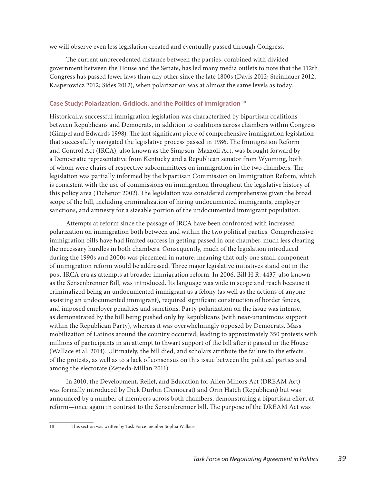we will observe even less legislation created and eventually passed through Congress.

The current unprecedented distance between the parties, combined with divided government between the House and the Senate, has led many media outlets to note that the 112th Congress has passed fewer laws than any other since the late 1800s (Davis 2012; Steinhauer 2012; Kasperowicz 2012; Sides 2012), when polarization was at almost the same levels as today.

#### **Case Study: Polarization, Gridlock, and the Politics of Immigration** <sup>18</sup>

Historically, successful immigration legislation was characterized by bipartisan coalitions between Republicans and Democrats, in addition to coalitions across chambers within Congress (Gimpel and Edwards 1998). The last significant piece of comprehensive immigration legislation that successfully navigated the legislative process passed in 1986. The Immigration Reform and Control Act (IRCA), also known as the Simpson–Mazzoli Act, was brought forward by a Democratic representative from Kentucky and a Republican senator from Wyoming, both of whom were chairs of respective subcommittees on immigration in the two chambers. The legislation was partially informed by the bipartisan Commission on Immigration Reform, which is consistent with the use of commissions on immigration throughout the legislative history of this policy area (Tichenor 2002). The legislation was considered comprehensive given the broad scope of the bill, including criminalization of hiring undocumented immigrants, employer sanctions, and amnesty for a sizeable portion of the undocumented immigrant population.

Attempts at reform since the passage of IRCA have been confronted with increased polarization on immigration both between and within the two political parties. Comprehensive immigration bills have had limited success in getting passed in one chamber, much less clearing the necessary hurdles in both chambers. Consequently, much of the legislation introduced during the 1990s and 2000s was piecemeal in nature, meaning that only one small component of immigration reform would be addressed. Three major legislative initiatives stand out in the post-IRCA era as attempts at broader immigration reform. In 2006, Bill H.R. 4437, also known as the Sensenbrenner Bill, was introduced. Its language was wide in scope and reach because it criminalized being an undocumented immigrant as a felony (as well as the actions of anyone assisting an undocumented immigrant), required significant construction of border fences, and imposed employer penalties and sanctions. Party polarization on the issue was intense, as demonstrated by the bill being pushed only by Republicans (with near-unanimous support within the Republican Party), whereas it was overwhelmingly opposed by Democrats. Mass mobilization of Latinos around the country occurred, leading to approximately 350 protests with millions of participants in an attempt to thwart support of the bill after it passed in the House (Wallace et al. 2014). Ultimately, the bill died, and scholars attribute the failure to the effects of the protests, as well as to a lack of consensus on this issue between the political parties and among the electorate (Zepeda-Millán 2011).

In 2010, the Development, Relief, and Education for Alien Minors Act (DREAM Act) was formally introduced by Dick Durbin (Democrat) and Orin Hatch (Republican) but was announced by a number of members across both chambers, demonstrating a bipartisan effort at reform—once again in contrast to the Sensenbrenner bill. The purpose of the DREAM Act was

<sup>18</sup> This section was written by Task Force member Sophia Wallace.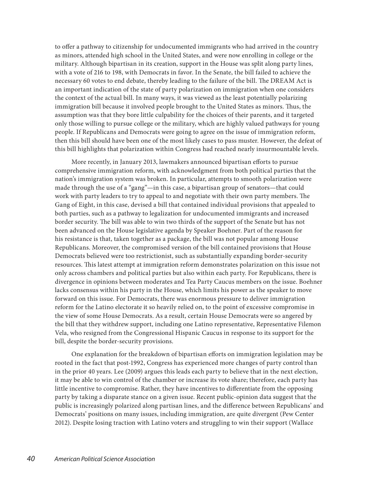to offer a pathway to citizenship for undocumented immigrants who had arrived in the country as minors, attended high school in the United States, and were now enrolling in college or the military. Although bipartisan in its creation, support in the House was split along party lines, with a vote of 216 to 198, with Democrats in favor. In the Senate, the bill failed to achieve the necessary 60 votes to end debate, thereby leading to the failure of the bill. The DREAM Act is an important indication of the state of party polarization on immigration when one considers the context of the actual bill. In many ways, it was viewed as the least potentially polarizing immigration bill because it involved people brought to the United States as minors. Thus, the assumption was that they bore little culpability for the choices of their parents, and it targeted only those willing to pursue college or the military, which are highly valued pathways for young people. If Republicans and Democrats were going to agree on the issue of immigration reform, then this bill should have been one of the most likely cases to pass muster. However, the defeat of this bill highlights that polarization within Congress had reached nearly insurmountable levels.

More recently, in January 2013, lawmakers announced bipartisan efforts to pursue comprehensive immigration reform, with acknowledgment from both political parties that the nation's immigration system was broken. In particular, attempts to smooth polarization were made through the use of a "gang"—in this case, a bipartisan group of senators—that could work with party leaders to try to appeal to and negotiate with their own party members. The Gang of Eight, in this case, devised a bill that contained individual provisions that appealed to both parties, such as a pathway to legalization for undocumented immigrants and increased border security. The bill was able to win two thirds of the support of the Senate but has not been advanced on the House legislative agenda by Speaker Boehner. Part of the reason for his resistance is that, taken together as a package, the bill was not popular among House Republicans. Moreover, the compromised version of the bill contained provisions that House Democrats believed were too restrictionist, such as substantially expanding border-security resources. This latest attempt at immigration reform demonstrates polarization on this issue not only across chambers and political parties but also within each party. For Republicans, there is divergence in opinions between moderates and Tea Party Caucus members on the issue. Boehner lacks consensus within his party in the House, which limits his power as the speaker to move forward on this issue. For Democrats, there was enormous pressure to deliver immigration reform for the Latino electorate it so heavily relied on, to the point of excessive compromise in the view of some House Democrats. As a result, certain House Democrats were so angered by the bill that they withdrew support, including one Latino representative, Representative Filemon Vela, who resigned from the Congressional Hispanic Caucus in response to its support for the bill, despite the border-security provisions.

One explanation for the breakdown of bipartisan efforts on immigration legislation may be rooted in the fact that post-1992, Congress has experienced more changes of party control than in the prior 40 years. Lee (2009) argues this leads each party to believe that in the next election, it may be able to win control of the chamber or increase its vote share; therefore, each party has little incentive to compromise. Rather, they have incentives to differentiate from the opposing party by taking a disparate stance on a given issue. Recent public-opinion data suggest that the public is increasingly polarized along partisan lines, and the difference between Republicans' and Democrats' positions on many issues, including immigration, are quite divergent (Pew Center 2012). Despite losing traction with Latino voters and struggling to win their support (Wallace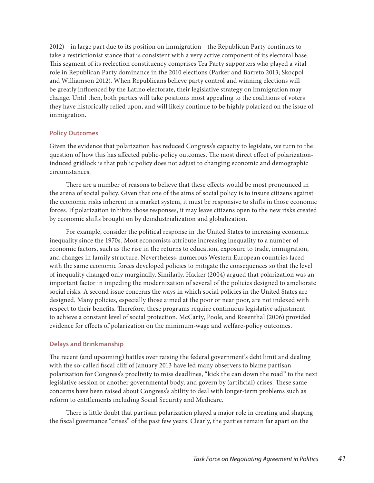2012)—in large part due to its position on immigration—the Republican Party continues to take a restrictionist stance that is consistent with a very active component of its electoral base. This segment of its reelection constituency comprises Tea Party supporters who played a vital role in Republican Party dominance in the 2010 elections (Parker and Barreto 2013; Skocpol and Williamson 2012). When Republicans believe party control and winning elections will be greatly influenced by the Latino electorate, their legislative strategy on immigration may change. Until then, both parties will take positions most appealing to the coalitions of voters they have historically relied upon, and will likely continue to be highly polarized on the issue of immigration.

#### **Policy Outcomes**

Given the evidence that polarization has reduced Congress's capacity to legislate, we turn to the question of how this has affected public-policy outcomes. The most direct effect of polarizationinduced gridlock is that public policy does not adjust to changing economic and demographic circumstances.

There are a number of reasons to believe that these effects would be most pronounced in the arena of social policy. Given that one of the aims of social policy is to insure citizens against the economic risks inherent in a market system, it must be responsive to shifts in those economic forces. If polarization inhibits those responses, it may leave citizens open to the new risks created by economic shifts brought on by deindustrialization and globalization.

For example, consider the political response in the United States to increasing economic inequality since the 1970s. Most economists attribute increasing inequality to a number of economic factors, such as the rise in the returns to education, exposure to trade, immigration, and changes in family structure. Nevertheless, numerous Western European countries faced with the same economic forces developed policies to mitigate the consequences so that the level of inequality changed only marginally. Similarly, Hacker (2004) argued that polarization was an important factor in impeding the modernization of several of the policies designed to ameliorate social risks. A second issue concerns the ways in which social policies in the United States are designed. Many policies, especially those aimed at the poor or near poor, are not indexed with respect to their benefits. Therefore, these programs require continuous legislative adjustment to achieve a constant level of social protection. McCarty, Poole, and Rosenthal (2006) provided evidence for effects of polarization on the minimum-wage and welfare-policy outcomes.

## **Delays and Brinkmanship**

The recent (and upcoming) battles over raising the federal government's debt limit and dealing with the so-called fiscal cliff of January 2013 have led many observers to blame partisan polarization for Congress's proclivity to miss deadlines, "kick the can down the road" to the next legislative session or another governmental body, and govern by (artificial) crises. These same concerns have been raised about Congress's ability to deal with longer-term problems such as reform to entitlements including Social Security and Medicare.

There is little doubt that partisan polarization played a major role in creating and shaping the fiscal governance "crises" of the past few years. Clearly, the parties remain far apart on the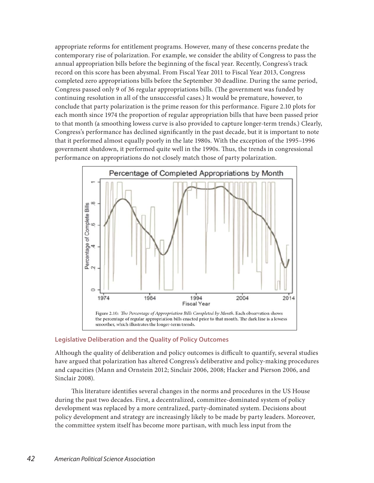appropriate reforms for entitlement programs. However, many of these concerns predate the contemporary rise of polarization. For example, we consider the ability of Congress to pass the annual appropriation bills before the beginning of the fiscal year. Recently, Congress's track record on this score has been abysmal. From Fiscal Year 2011 to Fiscal Year 2013, Congress completed zero appropriations bills before the September 30 deadline. During the same period, Congress passed only 9 of 36 regular appropriations bills. (The government was funded by continuing resolution in all of the unsuccessful cases.) It would be premature, however, to conclude that party polarization is the prime reason for this performance. Figure 2.10 plots for each month since 1974 the proportion of regular appropriation bills that have been passed prior to that month (a smoothing lowess curve is also provided to capture longer-term trends.) Clearly, Congress's performance has declined significantly in the past decade, but it is important to note that it performed almost equally poorly in the late 1980s. With the exception of the 1995–1996 government shutdown, it performed quite well in the 1990s. Thus, the trends in congressional performance on appropriations do not closely match those of party polarization.



## **Legislative Deliberation and the Quality of Policy Outcomes**

Although the quality of deliberation and policy outcomes is difficult to quantify, several studies have argued that polarization has altered Congress's deliberative and policy-making procedures and capacities (Mann and Ornstein 2012; Sinclair 2006, 2008; Hacker and Pierson 2006, and Sinclair 2008).

This literature identifies several changes in the norms and procedures in the US House during the past two decades. First, a decentralized, committee-dominated system of policy development was replaced by a more centralized, party-dominated system. Decisions about policy development and strategy are increasingly likely to be made by party leaders. Moreover, the committee system itself has become more partisan, with much less input from the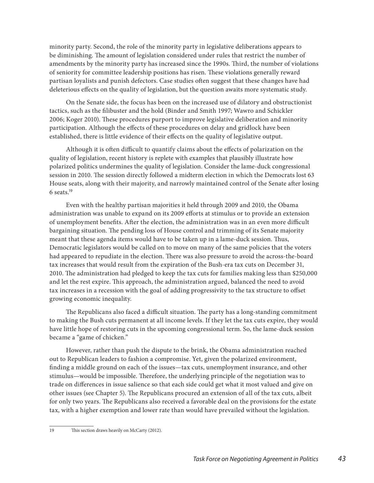minority party. Second, the role of the minority party in legislative deliberations appears to be diminishing. The amount of legislation considered under rules that restrict the number of amendments by the minority party has increased since the 1990s. Third, the number of violations of seniority for committee leadership positions has risen. These violations generally reward partisan loyalists and punish defectors. Case studies often suggest that these changes have had deleterious effects on the quality of legislation, but the question awaits more systematic study.

On the Senate side, the focus has been on the increased use of dilatory and obstructionist tactics, such as the filibuster and the hold (Binder and Smith 1997; Wawro and Schickler 2006; Koger 2010). These procedures purport to improve legislative deliberation and minority participation. Although the effects of these procedures on delay and gridlock have been established, there is little evidence of their effects on the quality of legislative output.

Although it is often difficult to quantify claims about the effects of polarization on the quality of legislation, recent history is replete with examples that plausibly illustrate how polarized politics undermines the quality of legislation. Consider the lame-duck congressional session in 2010. The session directly followed a midterm election in which the Democrats lost 63 House seats, along with their majority, and narrowly maintained control of the Senate after losing 6 seats. 19

Even with the healthy partisan majorities it held through 2009 and 2010, the Obama administration was unable to expand on its 2009 efforts at stimulus or to provide an extension of unemployment benefits. After the election, the administration was in an even more difficult bargaining situation. The pending loss of House control and trimming of its Senate majority meant that these agenda items would have to be taken up in a lame-duck session. Thus, Democratic legislators would be called on to move on many of the same policies that the voters had appeared to repudiate in the election. There was also pressure to avoid the across-the-board tax increases that would result from the expiration of the Bush-era tax cuts on December 31, 2010. The administration had pledged to keep the tax cuts for families making less than \$250,000 and let the rest expire. This approach, the administration argued, balanced the need to avoid tax increases in a recession with the goal of adding progressivity to the tax structure to offset growing economic inequality.

The Republicans also faced a difficult situation. The party has a long-standing commitment to making the Bush cuts permanent at all income levels. If they let the tax cuts expire, they would have little hope of restoring cuts in the upcoming congressional term. So, the lame-duck session became a "game of chicken."

However, rather than push the dispute to the brink, the Obama administration reached out to Republican leaders to fashion a compromise. Yet, given the polarized environment, finding a middle ground on each of the issues—tax cuts, unemployment insurance, and other stimulus—would be impossible. Therefore, the underlying principle of the negotiation was to trade on differences in issue salience so that each side could get what it most valued and give on other issues (see Chapter 5). The Republicans procured an extension of all of the tax cuts, albeit for only two years. The Republicans also received a favorable deal on the provisions for the estate tax, with a higher exemption and lower rate than would have prevailed without the legislation.

<sup>19</sup> This section draws heavily on McCarty (2012).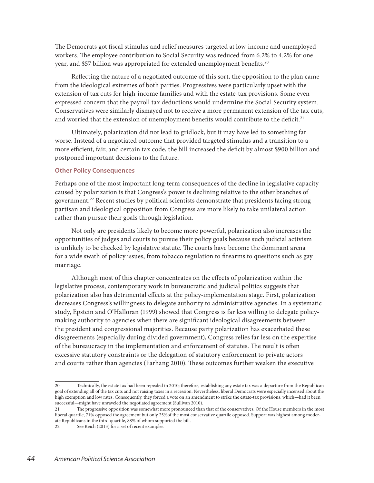The Democrats got fiscal stimulus and relief measures targeted at low-income and unemployed workers. The employee contribution to Social Security was reduced from 6.2% to 4.2% for one year, and \$57 billion was appropriated for extended unemployment benefits.<sup>20</sup>

Reflecting the nature of a negotiated outcome of this sort, the opposition to the plan came from the ideological extremes of both parties. Progressives were particularly upset with the extension of tax cuts for high-income families and with the estate-tax provisions. Some even expressed concern that the payroll tax deductions would undermine the Social Security system. Conservatives were similarly dismayed not to receive a more permanent extension of the tax cuts, and worried that the extension of unemployment benefits would contribute to the deficit.<sup>21</sup>

Ultimately, polarization did not lead to gridlock, but it may have led to something far worse. Instead of a negotiated outcome that provided targeted stimulus and a transition to a more efficient, fair, and certain tax code, the bill increased the deficit by almost \$900 billion and postponed important decisions to the future.

## **Other Policy Consequences**

Perhaps one of the most important long-term consequences of the decline in legislative capacity caused by polarization is that Congress's power is declining relative to the other branches of government.<sup>22</sup> Recent studies by political scientists demonstrate that presidents facing strong partisan and ideological opposition from Congress are more likely to take unilateral action rather than pursue their goals through legislation.

Not only are presidents likely to become more powerful, polarization also increases the opportunities of judges and courts to pursue their policy goals because such judicial activism is unlikely to be checked by legislative statute. The courts have become the dominant arena for a wide swath of policy issues, from tobacco regulation to firearms to questions such as gay marriage.

Although most of this chapter concentrates on the effects of polarization within the legislative process, contemporary work in bureaucratic and judicial politics suggests that polarization also has detrimental effects at the policy-implementation stage. First, polarization decreases Congress's willingness to delegate authority to administrative agencies. In a systematic study, Epstein and O'Halloran (1999) showed that Congress is far less willing to delegate policymaking authority to agencies when there are significant ideological disagreements between the president and congressional majorities. Because party polarization has exacerbated these disagreements (especially during divided government), Congress relies far less on the expertise of the bureaucracy in the implementation and enforcement of statutes. The result is often excessive statutory constraints or the delegation of statutory enforcement to private actors and courts rather than agencies (Farhang 2010). These outcomes further weaken the executive

<sup>20</sup> Technically, the estate tax had been repealed in 2010; therefore, establishing any estate tax was a departure from the Republican goal of extending all of the tax cuts and not raising taxes in a recession. Nevertheless, liberal Democrats were especially incensed about the high exemption and low rates. Consequently, they forced a vote on an amendment to strike the estate-tax provisions, which—had it been successful—might have unraveled the negotiated agreement (Sullivan 2010).

The progressive opposition was somewhat more pronounced than that of the conservatives. Of the House members in the most liberal quartile, 71% opposed the agreement but only 25%of the most conservative quartile opposed. Support was highest among moderate Republicans in the third quartile, 88% of whom supported the bill.<br>22 See Reich (2013) for a set of recent examples.

See Reich (2013) for a set of recent examples.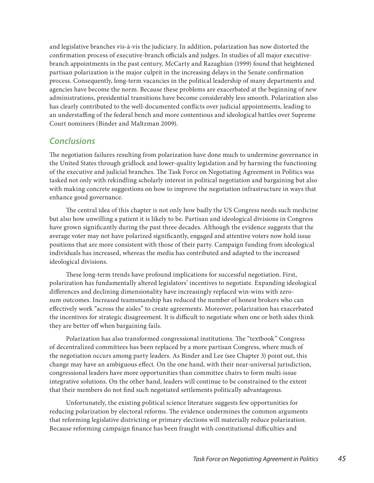and legislative branches vis-à-vis the judiciary. In addition, polarization has now distorted the confirmation process of executive-branch officials and judges. In studies of all major executivebranch appointments in the past century, McCarty and Razaghian (1999) found that heightened partisan polarization is the major culprit in the increasing delays in the Senate confirmation process. Consequently, long-term vacancies in the political leadership of many departments and agencies have become the norm. Because these problems are exacerbated at the beginning of new administrations, presidential transitions have become considerably less smooth. Polarization also has clearly contributed to the well-documented conflicts over judicial appointments, leading to an understaffing of the federal bench and more contentious and ideological battles over Supreme Court nominees (Binder and Maltzman 2009).

## *Conclusions*

The negotiation failures resulting from polarization have done much to undermine governance in the United States through gridlock and lower-quality legislation and by harming the functioning of the executive and judicial branches. The Task Force on Negotiating Agreement in Politics was tasked not only with rekindling scholarly interest in political negotiation and bargaining but also with making concrete suggestions on how to improve the negotiation infrastructure in ways that enhance good governance.

The central idea of this chapter is not only how badly the US Congress needs such medicine but also how unwilling a patient it is likely to be. Partisan and ideological divisions in Congress have grown significantly during the past three decades. Although the evidence suggests that the average voter may not have polarized significantly, engaged and attentive voters now hold issue positions that are more consistent with those of their party. Campaign funding from ideological individuals has increased, whereas the media has contributed and adapted to the increased ideological divisions.

These long-term trends have profound implications for successful negotiation. First, polarization has fundamentally altered legislators' incentives to negotiate. Expanding ideological differences and declining dimensionality have increasingly replaced win-wins with zerosum outcomes. Increased teamsmanship has reduced the number of honest brokers who can effectively work "across the aisles" to create agreements. Moreover, polarization has exacerbated the incentives for strategic disagreement. It is difficult to negotiate when one or both sides think they are better off when bargaining fails.

Polarization has also transformed congressional institutions. The "textbook" Congress of decentralized committees has been replaced by a more partisan Congress, where much of the negotiation occurs among party leaders. As Binder and Lee (see Chapter 3) point out, this change may have an ambiguous effect. On the one hand, with their near-universal jurisdiction, congressional leaders have more opportunities than committee chairs to form multi-issue integrative solutions. On the other hand, leaders will continue to be constrained to the extent that their members do not find such negotiated settlements politically advantageous.

Unfortunately, the existing political science literature suggests few opportunities for reducing polarization by electoral reforms. The evidence undermines the common arguments that reforming legislative districting or primary elections will materially reduce polarization. Because reforming campaign finance has been fraught with constitutional difficulties and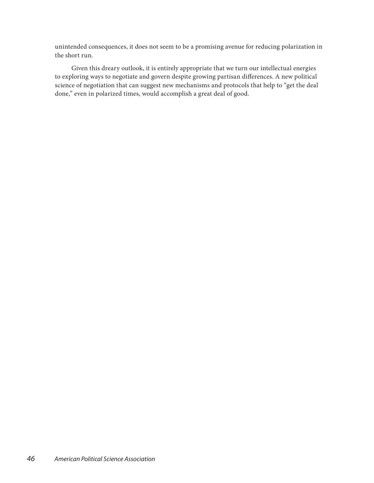unintended consequences, it does not seem to be a promising avenue for reducing polarization in the short run.

Given this dreary outlook, it is entirely appropriate that we turn our intellectual energies to exploring ways to negotiate and govern despite growing partisan differences. A new political science of negotiation that can suggest new mechanisms and protocols that help to "get the deal done," even in polarized times, would accomplish a great deal of good.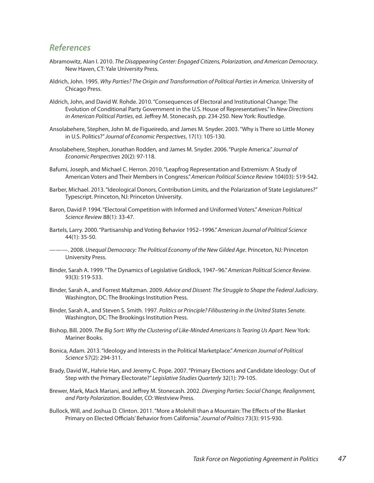## *References*

- Abramowitz, Alan I. 2010. *The Disappearing Center: Engaged Citizens, Polarization, and American Democracy*. New Haven, CT: Yale University Press.
- Aldrich, John. 1995. *Why Parties? The Origin and Transformation of Political Parties in America*. University of Chicago Press.
- Aldrich, John, and David W. Rohde. 2010. "Consequences of Electoral and Institutional Change: The Evolution of Conditional Party Government in the U.S. House of Representatives." In *New Directions in American Political Parties*, ed. Jeffrey M. Stonecash, pp. 234-250. New York: Routledge.
- Ansolabehere, Stephen, John M. de Figueiredo, and James M. Snyder. 2003. "Why is There so Little Money in U.S. Politics?" *Journal of Economic Perspectives*, 17(1): 105-130.
- Ansolabehere, Stephen, Jonathan Rodden, and James M. Snyder. 2006. "Purple America." *Journal of Economic Perspectives* 20(2): 97-118.
- Bafumi, Joseph, and Michael C. Herron. 2010. "Leapfrog Representation and Extremism: A Study of American Voters and Their Members in Congress." *American Political Science Review* 104(03): 519-542.
- Barber, Michael. 2013. "Ideological Donors, Contribution Limits, and the Polarization of State Legislatures?" Typescript. Princeton, NJ: Princeton University.
- Baron, David P. 1994. "Electoral Competition with Informed and Uniformed Voters." *American Political Science Review* 88(1): 33-47.
- Bartels, Larry. 2000. "Partisanship and Voting Behavior 1952–1996." *American Journal of Political Science*  44(1): 35-50.
	- ———. 2008. *Unequal Democracy: The Political Economy of the New Gilded Age*. Princeton, NJ: Princeton University Press.
- Binder, Sarah A. 1999. "The Dynamics of Legislative Gridlock, 1947–96." *American Political Science Review*. 93(3): 519-533.
- Binder, Sarah A., and Forrest Maltzman. 2009. *Advice and Dissent: The Struggle to Shape the Federal Judiciary*. Washington, DC: The Brookings Institution Press.
- Binder, Sarah A., and Steven S. Smith. 1997. *Politics or Principle? Filibustering in the United States Senate*. Washington, DC: The Brookings Institution Press.
- Bishop, Bill. 2009. *The Big Sort: Why the Clustering of Like-Minded Americans Is Tearing Us Apart*. New York: Mariner Books.
- Bonica, Adam. 2013. "Ideology and Interests in the Political Marketplace." *American Journal of Political Science* 57(2): 294-311.
- Brady, David W., Hahrie Han, and Jeremy C. Pope. 2007. "Primary Elections and Candidate Ideology: Out of Step with the Primary Electorate?" *Legislative Studies Quarterly* 32(1): 79-105.
- Brewer, Mark, Mack Mariani, and Jeffrey M. Stonecash. 2002. *Diverging Parties: Social Change, Realignment, and Party Polarization*. Boulder, CO: Westview Press.
- Bullock, Will, and Joshua D. Clinton. 2011. "More a Molehill than a Mountain: The Effects of the Blanket Primary on Elected Officials' Behavior from California." *Journal of Politics* 73(3): 915-930.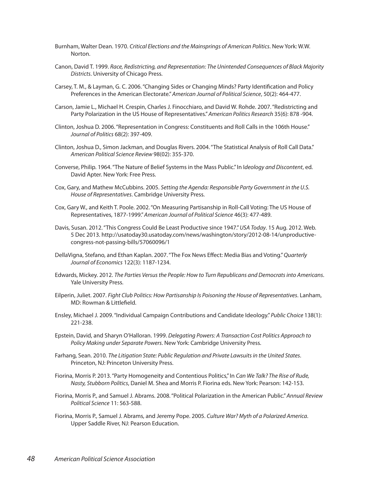- Burnham, Walter Dean. 1970. *Critical Elections and the Mainsprings of American Politics*. New York: W.W. Norton.
- Canon, David T. 1999. *Race, Redistricting, and Representation: The Unintended Consequences of Black Majority Districts*. University of Chicago Press.
- Carsey, T. M., & Layman, G. C. 2006. "Changing Sides or Changing Minds? Party Identification and Policy Preferences in the American Electorate." *American Journal of Political Science*, 50(2): 464-477.
- Carson, Jamie L., Michael H. Crespin, Charles J. Finocchiaro, and David W. Rohde. 2007. "Redistricting and Party Polarization in the US House of Representatives." *American Politics Research* 35(6): 878 -904.
- Clinton, Joshua D. 2006. "Representation in Congress: Constituents and Roll Calls in the 106th House." *Journal of Politics* 68(2): 397-409.
- Clinton, Joshua D., Simon Jackman, and Douglas Rivers. 2004. "The Statistical Analysis of Roll Call Data." *American Political Science Review* 98(02): 355-370.
- Converse, Philip. 1964. "The Nature of Belief Systems in the Mass Public." In I*deology and Discontent*, ed. David Apter. New York: Free Press.
- Cox, Gary, and Mathew McCubbins. 2005. *Setting the Agenda: Responsible Party Government in the U.S. House of Representatives*. Cambridge University Press.
- Cox, Gary W., and Keith T. Poole. 2002. "On Measuring Partisanship in Roll-Call Voting: The US House of Representatives, 1877-1999." *American Journal of Political Science* 46(3): 477-489.
- Davis, Susan. 2012. "This Congress Could Be Least Productive since 1947." *USA Today*. 15 Aug. 2012. Web. 5 Dec 2013. http://usatoday30.usatoday.com/news/washington/story/2012-08-14/unproductivecongress-not-passing-bills/57060096/1
- DellaVigna, Stefano, and Ethan Kaplan. 2007. "The Fox News Effect: Media Bias and Voting." *Quarterly Journal of Economics* 122(3): 1187-1234.
- Edwards, Mickey. 2012. *The Parties Versus the People: How to Turn Republicans and Democrats into Americans*. Yale University Press.
- Eilperin, Juliet. 2007. *Fight Club Politics: How Partisanship Is Poisoning the House of Representatives*. Lanham, MD: Rowman & Littlefield.
- Ensley, Michael J. 2009. "Individual Campaign Contributions and Candidate Ideology." *Public Choice* 138(1): 221-238.
- Epstein, David, and Sharyn O'Halloran. 1999. *Delegating Powers: A Transaction Cost Politics Approach to Policy Making under Separate Powers*. New York: Cambridge University Press.
- Farhang, Sean. 2010. *The Litigation State: Public Regulation and Private Lawsuits in the United States*. Princeton, NJ: Princeton University Press.
- Fiorina, Morris P. 2013. "Party Homogeneity and Contentious Politics," In *Can We Talk? The Rise of Rude, Nasty, Stubborn Politics*, Daniel M. Shea and Morris P. Fiorina eds. New York: Pearson: 142-153.
- Fiorina, Morris P., and Samuel J. Abrams. 2008. "Political Polarization in the American Public." *Annual Review Political Science* 11: 563-588.
- Fiorina, Morris P., Samuel J. Abrams, and Jeremy Pope. 2005. *Culture War? Myth of a Polarized America*. Upper Saddle River, NJ: Pearson Education.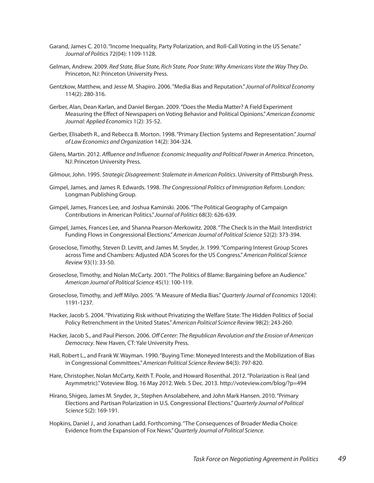- Garand, James C. 2010. "Income Inequality, Party Polarization, and Roll-Call Voting in the US Senate." *Journal of Politic*s 72(04): 1109-1128.
- Gelman, Andrew. 2009. *Red State, Blue State, Rich State, Poor State: Why Americans Vote the Way They Do*. Princeton, NJ: Princeton University Press.
- Gentzkow, Matthew, and Jesse M. Shapiro. 2006. "Media Bias and Reputation." *Journal of Political Economy* 114(2): 280-316.
- Gerber, Alan, Dean Karlan, and Daniel Bergan. 2009. "Does the Media Matter? A Field Experiment Measuring the Effect of Newspapers on Voting Behavior and Political Opinions." *American Economic Journal: Applied Economics* 1(2): 35-52.
- Gerber, Elisabeth R., and Rebecca B. Morton. 1998. "Primary Election Systems and Representation." *Journal of Law Economics and Organization* 14(2): 304-324.
- Gilens, Martin. 2012. *Affluence and Influence: Economic Inequality and Political Power in America*. Princeton, NJ: Princeton University Press.
- Gilmour, John. 1995. *Strategic Disagreement: Stalemate in American Politics*. University of Pittsburgh Press.
- Gimpel, James, and James R. Edwards. 1998. *The Congressional Politics of Immigration Reform*. London: Longman Publishing Group.
- Gimpel, James, Frances Lee, and Joshua Kaminski. 2006. "The Political Geography of Campaign Contributions in American Politics." *Journal of Politics* 68(3): 626-639.
- Gimpel, James, Frances Lee, and Shanna Pearson-Merkowitz. 2008. "The Check Is in the Mail: Interdistrict Funding Flows in Congressional Elections." *American Journal of Political Science* 52(2): 373-394.
- Groseclose, Timothy, Steven D. Levitt, and James M. Snyder, Jr. 1999. "Comparing Interest Group Scores across Time and Chambers: Adjusted ADA Scores for the US Congress." *American Political Science Review* 93(1): 33-50.
- Groseclose, Timothy, and Nolan McCarty. 2001. "The Politics of Blame: Bargaining before an Audience." *American Journal of Political Science* 45(1): 100-119.
- Groseclose, Timothy, and Jeff Milyo. 2005. "A Measure of Media Bias." *Quarterly Journal of Economics* 120(4): 1191-1237.
- Hacker, Jacob S. 2004. "Privatizing Risk without Privatizing the Welfare State: The Hidden Politics of Social Policy Retrenchment in the United States." *American Political Science Review* 98(2): 243-260.
- Hacker, Jacob S., and Paul Pierson. 2006. *Off Center: The Republican Revolution and the Erosion of American Democracy*. New Haven, CT: Yale University Press.
- Hall, Robert L., and Frank W. Wayman. 1990. "Buying Time: Moneyed Interests and the Mobilization of Bias in Congressional Committees." *American Political Science Review* 84(3): 797-820.
- Hare, Christopher, Nolan McCarty, Keith T. Poole, and Howard Rosenthal. 2012. "Polarization is Real (and Asymmetric)." Voteview Blog. 16 May 2012. Web. 5 Dec. 2013. http://voteview.com/blog/?p=494
- Hirano, Shigeo, James M. Snyder, Jr., Stephen Ansolabehere, and John Mark Hansen. 2010. "Primary Elections and Partisan Polarization in U.S. Congressional Elections." *Quarterly Journal of Political Science* 5(2): 169-191.
- Hopkins, Daniel J., and Jonathan Ladd. Forthcoming. "The Consequences of Broader Media Choice: Evidence from the Expansion of Fox News." *Quarterly Journal of Political Science*.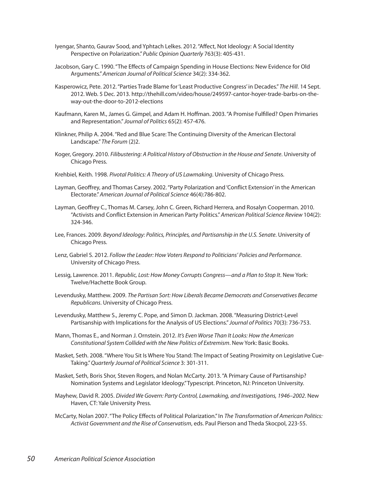- Iyengar, Shanto, Gaurav Sood, and Yphtach Lelkes. 2012. "Affect, Not Ideology: A Social Identity Perspective on Polarization." *Public Opinion Quarterly* 763(3): 405-431.
- Jacobson, Gary C. 1990. "The Effects of Campaign Spending in House Elections: New Evidence for Old Arguments." *American Journal of Political Science* 34(2): 334-362.
- Kasperowicz, Pete. 2012. "Parties Trade Blame for 'Least Productive Congress' in Decades." *The Hill*. 14 Sept. 2012. Web. 5 Dec. 2013. http://thehill.com/video/house/249597-cantor-hoyer-trade-barbs-on-theway-out-the-door-to-2012-elections
- Kaufmann, Karen M., James G. Gimpel, and Adam H. Hoffman. 2003. "A Promise Fulfilled? Open Primaries and Representation." *Journal of Politics* 65(2): 457-476.
- Klinkner, Philip A. 2004. "Red and Blue Scare: The Continuing Diversity of the American Electoral Landscape." *The Forum* (2)2.
- Koger, Gregory. 2010. *Filibustering: A Political History of Obstruction in the House and Senate*. University of Chicago Press.
- Krehbiel, Keith. 1998. *Pivotal Politics: A Theory of US Lawmaking*. University of Chicago Press.
- Layman, Geoffrey, and Thomas Carsey. 2002. "Party Polarization and 'Conflict Extension' in the American Electorate." *American Journal of Political Science* 46(4):786-802.
- Layman, Geoffrey C., Thomas M. Carsey, John C. Green, Richard Herrera, and Rosalyn Cooperman. 2010. "Activists and Conflict Extension in American Party Politics." *American Political Science Review* 104(2): 324-346.
- Lee, Frances. 2009. *Beyond Ideology: Politics, Principles, and Partisanship in the U.S. Senate*. University of Chicago Press.
- Lenz, Gabriel S. 2012. *Follow the Leader: How Voters Respond to Politicians' Policies and Performance*. University of Chicago Press.
- Lessig, Lawrence. 2011. *Republic, Lost: How Money Corrupts Congress—and a Plan to Stop It*. New York: Twelve/Hachette Book Group.
- Levendusky, Matthew. 2009. *The Partisan Sort: How Liberals Became Democrats and Conservatives Became Republicans*. University of Chicago Press.
- Levendusky, Matthew S., Jeremy C. Pope, and Simon D. Jackman. 2008. "Measuring District-Level Partisanship with Implications for the Analysis of US Elections." *Journal of Politics* 70(3): 736-753.
- Mann, Thomas E., and Norman J. Ornstein. 2012. *It's Even Worse Than It Looks: How the American Constitutional System Collided with the New Politics of Extremism*. New York: Basic Books.
- Masket, Seth. 2008. "Where You Sit Is Where You Stand: The Impact of Seating Proximity on Legislative Cue-Taking." *Quarterly Journal of Political Science* 3: 301-311.
- Masket, Seth, Boris Shor, Steven Rogers, and Nolan McCarty. 2013. "A Primary Cause of Partisanship? Nomination Systems and Legislator Ideology." Typescript. Princeton, NJ: Princeton University.
- Mayhew, David R. 2005. *Divided We Govern: Party Control, Lawmaking, and Investigations, 1946–2002*. New Haven, CT: Yale University Press.
- McCarty, Nolan 2007. "The Policy Effects of Political Polarization." In *The Transformation of American Politics: Activist Government and the Rise of Conservatism*, eds. Paul Pierson and Theda Skocpol, 223-55.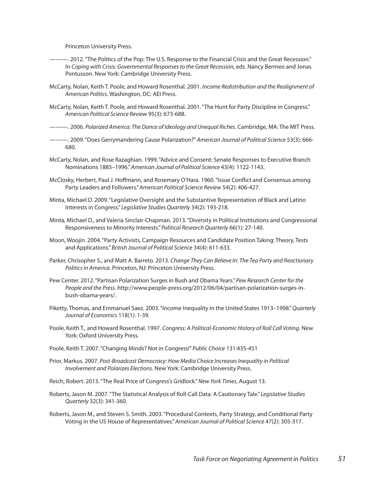Princeton University Press.

- ———. 2012. "The Politics of the Pop: The U.S. Response to the Financial Crisis and the Great Recession." In *Coping with Crisis: Governmental Responses to the Great Recession*, eds. Nancy Bermeo and Jonas Pontusson. New York: Cambridge University Press.
- McCarty, Nolan, Keith T. Poole, and Howard Rosenthal. 2001. *Income Redistribution and the Realignment of American Politics*. Washington, DC: AEI Press.
- McCarty, Nolan, Keith T. Poole, and Howard Rosenthal. 2001. "The Hunt for Party Discipline in Congress." *American Political Science Review* 95(3): 673-688.
- ———. 2006. *Polarized America: The Dance of Ideology and Unequal Riches*. Cambridge, MA: The MIT Press.
- ———. 2009. "Does Gerrymandering Cause Polarization?" *American Journal of Political Science* 53(3): 666- 680.
- McCarty, Nolan, and Rose Razaghian. 1999. "Advice and Consent: Senate Responses to Executive Branch Nominations 1885–1996." *American Journal of Political Science* 43(4): 1122-1143.
- McClosky, Herbert, Paul J. Hoffmann, and Rosemary O'Hara. 1960. "Issue Conflict and Consensus among Party Leaders and Followers." *American Political Science Review* 54(2): 406-427.
- Minta, Michael D. 2009. "Legislative Oversight and the Substantive Representation of Black and Latino Interests in Congress." *Legislative Studies Quarterly* 34(2): 193-218.
- Minta, Michael D., and Valeria Sinclair-Chapman. 2013. "Diversity in Political Institutions and Congressional Responsiveness to Minority Interests." *Political Research Quarterly* 66(1): 27-140.
- Moon, Woojin. 2004. "Party Activists, Campaign Resources and Candidate Position Taking: Theory, Tests and Applications." *British Journal of Political Science* 34(4): 611-633.
- Parker, Chrisopher S., and Matt A. Barreto. 2013. *Change They Can Believe In: The Tea Party and Reactionary Politics in America*. Princeton, NJ: Princeton University Press.
- Pew Center. 2012. "Partisan Polarization Surges in Bush and Obama Years." *Pew Research Center for the People and the Press*. http://www.people-press.org/2012/06/04/partisan-polarization-surges-inbush-obama-years/.
- Piketty, Thomas, and Emmanuel Saez. 2003. "Income Inequality in the United States 1913–1998." *Quarterly Journal of Economics* 118(1): 1-39.
- Poole, Keith T., and Howard Rosenthal. 1997. *Congress: A Political-Economic History of Roll Call Voting*. New York: Oxford University Press.
- Poole, Keith T. 2007. "Changing Minds? Not in Congress!" *Public Choice* 131:435-451
- Prior, Markus. 2007. *Post-Broadcast Democracy: How Media Choice Increases Inequality in Political Involvement and Polarizes Elections*. New York: Cambridge University Press.
- Reich, Robert. 2013. "The Real Price of Congress's Gridlock." *New York Times*, August 13.
- Roberts, Jason M. 2007. "The Statistical Analysis of Roll-Call Data: A Cautionary Tale." *Legislative Studies Quarterly* 32(3): 341-360.
- Roberts, Jason M., and Steven S. Smith. 2003. "Procedural Contexts, Party Strategy, and Conditional Party Voting in the US House of Representatives." *American Journal of Political Science* 47(2): 305-317.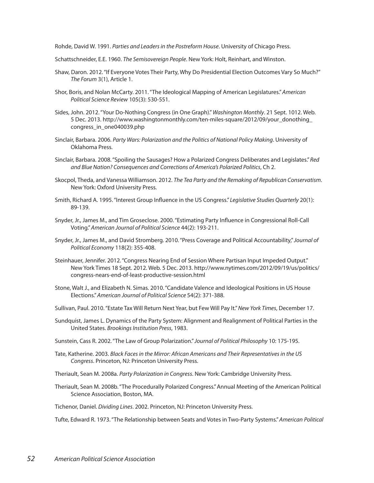Rohde, David W. 1991. *Parties and Leaders in the Postreform House*. University of Chicago Press.

Schattschneider, E.E. 1960. *The Semisovereign People*. New York: Holt, Reinhart, and Winston.

- Shaw, Daron. 2012. "If Everyone Votes Their Party, Why Do Presidential Election Outcomes Vary So Much?" *The Forum* 3(1), Article 1.
- Shor, Boris, and Nolan McCarty. 2011. "The Ideological Mapping of American Legislatures." *American Political Science Review* 105(3): 530-551.
- Sides, John. 2012. "Your Do-Nothing Congress (in One Graph)." *Washington Monthly*. 21 Sept. 1012. Web. 5 Dec. 2013. http://www.washingtonmonthly.com/ten-miles-square/2012/09/your\_donothing\_ congress\_in\_one040039.php
- Sinclair, Barbara. 2006. *Party Wars: Polarization and the Politics of National Policy Making*. University of Oklahoma Press.
- Sinclair, Barbara. 2008. "Spoiling the Sausages? How a Polarized Congress Deliberates and Legislates." *Red and Blue Nation? Consequences and Corrections of America's Polarized Politics*, Ch 2.
- Skocpol, Theda, and Vanessa Williamson. 2012. *The Tea Party and the Remaking of Republican Conservatism*. New York: Oxford University Press.
- Smith, Richard A. 1995. "Interest Group Influence in the US Congress." *Legislative Studies Quarterly* 20(1): 89-139.
- Snyder, Jr., James M., and Tim Groseclose. 2000. "Estimating Party Influence in Congressional Roll-Call Voting." *American Journal of Political Science* 44(2): 193-211.
- Snyder, Jr., James M., and David Stromberg. 2010. "Press Coverage and Political Accountability," *Journal of Political Economy* 118(2): 355-408.
- Steinhauer, Jennifer. 2012. "Congress Nearing End of Session Where Partisan Input Impeded Output." New York Times 18 Sept. 2012. Web. 5 Dec. 2013. http://www.nytimes.com/2012/09/19/us/politics/ congress-nears-end-of-least-productive-session.html
- Stone, Walt J., and Elizabeth N. Simas. 2010. "Candidate Valence and Ideological Positions in US House Elections." *American Journal of Political Science* 54(2): 371-388.
- Sullivan, Paul. 2010. "Estate Tax Will Return Next Year, but Few Will Pay It." *New York Times*, December 17.
- Sundquist, James L. Dynamics of the Party System: Alignment and Realignment of Political Parties in the United States. *Brookings Institution Press*, 1983.
- Sunstein, Cass R. 2002. "The Law of Group Polarization." *Journal of Political Philosophy* 10: 175-195.
- Tate, Katherine. 2003. *Black Faces in the Mirror: African Americans and Their Representatives in the US Congress*. Princeton, NJ: Princeton University Press.
- Theriault, Sean M. 2008a. *Party Polarization in Congress*. New York: Cambridge University Press.
- Theriault, Sean M. 2008b. "The Procedurally Polarized Congress." Annual Meeting of the American Political Science Association, Boston, MA.
- Tichenor, Daniel. *Dividing Lines*. 2002. Princeton, NJ: Princeton University Press.

Tufte, Edward R. 1973. "The Relationship between Seats and Votes in Two-Party Systems." *American Political*